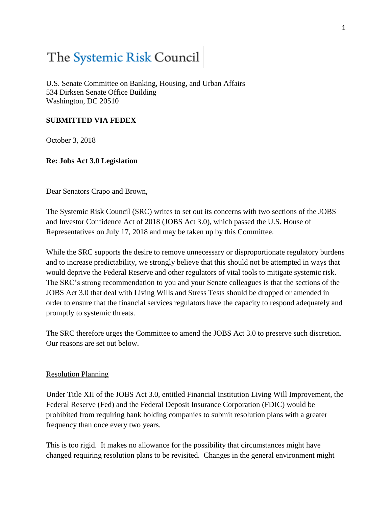# The Systemic Risk Council

U.S. Senate Committee on Banking, Housing, and Urban Affairs 534 Dirksen Senate Office Building Washington, DC 20510

# **SUBMITTED VIA FEDEX**

October 3, 2018

# **Re: Jobs Act 3.0 Legislation**

Dear Senators Crapo and Brown,

The Systemic Risk Council (SRC) writes to set out its concerns with two sections of the JOBS and Investor Confidence Act of 2018 (JOBS Act 3.0), which passed the U.S. House of Representatives on July 17, 2018 and may be taken up by this Committee.

While the SRC supports the desire to remove unnecessary or disproportionate regulatory burdens and to increase predictability, we strongly believe that this should not be attempted in ways that would deprive the Federal Reserve and other regulators of vital tools to mitigate systemic risk. The SRC's strong recommendation to you and your Senate colleagues is that the sections of the JOBS Act 3.0 that deal with Living Wills and Stress Tests should be dropped or amended in order to ensure that the financial services regulators have the capacity to respond adequately and promptly to systemic threats.

The SRC therefore urges the Committee to amend the JOBS Act 3.0 to preserve such discretion. Our reasons are set out below.

## Resolution Planning

Under Title XII of the JOBS Act 3.0, entitled Financial Institution Living Will Improvement, the Federal Reserve (Fed) and the Federal Deposit Insurance Corporation (FDIC) would be prohibited from requiring bank holding companies to submit resolution plans with a greater frequency than once every two years.

This is too rigid. It makes no allowance for the possibility that circumstances might have changed requiring resolution plans to be revisited. Changes in the general environment might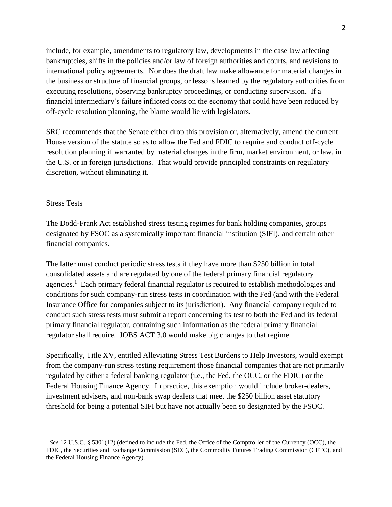include, for example, amendments to regulatory law, developments in the case law affecting bankruptcies, shifts in the policies and/or law of foreign authorities and courts, and revisions to international policy agreements. Nor does the draft law make allowance for material changes in the business or structure of financial groups, or lessons learned by the regulatory authorities from executing resolutions, observing bankruptcy proceedings, or conducting supervision. If a financial intermediary's failure inflicted costs on the economy that could have been reduced by off-cycle resolution planning, the blame would lie with legislators.

SRC recommends that the Senate either drop this provision or, alternatively, amend the current House version of the statute so as to allow the Fed and FDIC to require and conduct off-cycle resolution planning if warranted by material changes in the firm, market environment, or law, in the U.S. or in foreign jurisdictions. That would provide principled constraints on regulatory discretion, without eliminating it.

### Stress Tests

 $\overline{a}$ 

The Dodd-Frank Act established stress testing regimes for bank holding companies, groups designated by FSOC as a systemically important financial institution (SIFI), and certain other financial companies.

The latter must conduct periodic stress tests if they have more than \$250 billion in total consolidated assets and are regulated by one of the federal primary financial regulatory agencies.<sup>1</sup> Each primary federal financial regulator is required to establish methodologies and conditions for such company-run stress tests in coordination with the Fed (and with the Federal Insurance Office for companies subject to its jurisdiction). Any financial company required to conduct such stress tests must submit a report concerning its test to both the Fed and its federal primary financial regulator, containing such information as the federal primary financial regulator shall require. JOBS ACT 3.0 would make big changes to that regime.

Specifically, Title XV, entitled Alleviating Stress Test Burdens to Help Investors, would exempt from the company-run stress testing requirement those financial companies that are not primarily regulated by either a federal banking regulator (i.e., the Fed, the OCC, or the FDIC) or the Federal Housing Finance Agency. In practice, this exemption would include broker-dealers, investment advisers, and non-bank swap dealers that meet the \$250 billion asset statutory threshold for being a potential SIFI but have not actually been so designated by the FSOC.

<sup>&</sup>lt;sup>1</sup> See 12 U.S.C. § 5301(12) (defined to include the Fed, the Office of the Comptroller of the Currency (OCC), the FDIC, the Securities and Exchange Commission (SEC), the Commodity Futures Trading Commission (CFTC), and the Federal Housing Finance Agency).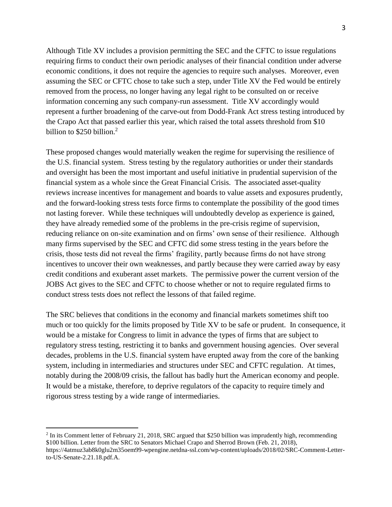Although Title XV includes a provision permitting the SEC and the CFTC to issue regulations requiring firms to conduct their own periodic analyses of their financial condition under adverse economic conditions, it does not require the agencies to require such analyses. Moreover, even assuming the SEC or CFTC chose to take such a step, under Title XV the Fed would be entirely removed from the process, no longer having any legal right to be consulted on or receive information concerning any such company-run assessment. Title XV accordingly would represent a further broadening of the carve-out from Dodd-Frank Act stress testing introduced by the Crapo Act that passed earlier this year, which raised the total assets threshold from \$10 billion to \$250 billion.<sup>2</sup>

These proposed changes would materially weaken the regime for supervising the resilience of the U.S. financial system. Stress testing by the regulatory authorities or under their standards and oversight has been the most important and useful initiative in prudential supervision of the financial system as a whole since the Great Financial Crisis. The associated asset-quality reviews increase incentives for management and boards to value assets and exposures prudently, and the forward-looking stress tests force firms to contemplate the possibility of the good times not lasting forever. While these techniques will undoubtedly develop as experience is gained, they have already remedied some of the problems in the pre-crisis regime of supervision, reducing reliance on on-site examination and on firms' own sense of their resilience. Although many firms supervised by the SEC and CFTC did some stress testing in the years before the crisis, those tests did not reveal the firms' fragility, partly because firms do not have strong incentives to uncover their own weaknesses, and partly because they were carried away by easy credit conditions and exuberant asset markets. The permissive power the current version of the JOBS Act gives to the SEC and CFTC to choose whether or not to require regulated firms to conduct stress tests does not reflect the lessons of that failed regime.

The SRC believes that conditions in the economy and financial markets sometimes shift too much or too quickly for the limits proposed by Title XV to be safe or prudent. In consequence, it would be a mistake for Congress to limit in advance the types of firms that are subject to regulatory stress testing, restricting it to banks and government housing agencies. Over several decades, problems in the U.S. financial system have erupted away from the core of the banking system, including in intermediaries and structures under SEC and CFTC regulation. At times, notably during the 2008/09 crisis, the fallout has badly hurt the American economy and people. It would be a mistake, therefore, to deprive regulators of the capacity to require timely and rigorous stress testing by a wide range of intermediaries.

 $\overline{a}$ 

 $2$  In its Comment letter of February 21, 2018, SRC argued that \$250 billion was imprudently high, recommending \$100 billion. Letter from the SRC to Senators Michael Crapo and Sherrod Brown (Feb. 21, 2018), https://4atmuz3ab8k0glu2m35oem99-wpengine.netdna-ssl.com/wp-content/uploads/2018/02/SRC-Comment-Letterto-US-Senate-2.21.18.pdf.A.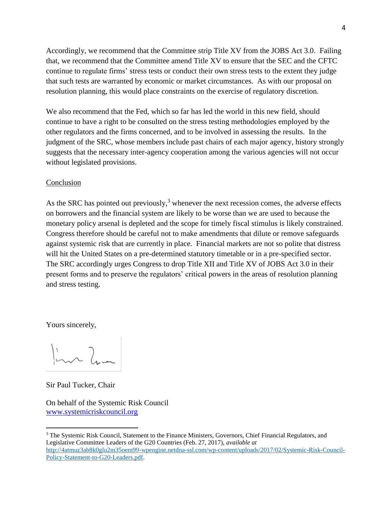Accordingly, we recommend that the Committee strip Title XV from the JOBS Act 3.0. Failing that, we recommend that the Committee amend Title XV to ensure that the SEC and the CFTC continue to regulate firms' stress tests or conduct their own stress tests to the extent they judge that such tests are warranted by economic or market circumstances. As with our proposal on resolution planning, this would place constraints on the exercise of regulatory discretion.

We also recommend that the Fed, which so far has led the world in this new field, should continue to have a right to be consulted on the stress testing methodologies employed by the other regulators and the firms concerned, and to be involved in assessing the results. In the judgment of the SRC, whose members include past chairs of each major agency, history strongly suggests that the necessary inter-agency cooperation among the various agencies will not occur without legislated provisions.

# Conclusion

As the SRC has pointed out previously, $3$  whenever the next recession comes, the adverse effects on borrowers and the financial system are likely to be worse than we are used to because the monetary policy arsenal is depleted and the scope for timely fiscal stimulus is likely constrained. Congress therefore should be careful not to make amendments that dilute or remove safeguards against systemic risk that are currently in place. Financial markets are not so polite that distress will hit the United States on a pre-determined statutory timetable or in a pre-specified sector. The SRC accordingly urges Congress to drop Title XII and Title XV of JOBS Act 3.0 in their present forms and to preserve the regulators' critical powers in the areas of resolution planning and stress testing.

Yours sincerely,

 $\ln \lambda$ 

Sir Paul Tucker, Chair

 $\overline{a}$ 

On behalf of the Systemic Risk Council [www.systemicriskcouncil.org](http://www.systemicriskcouncil.org/)

<sup>&</sup>lt;sup>3</sup> The Systemic Risk Council, Statement to the Finance Ministers, Governors, Chief Financial Regulators, and Legislative Committee Leaders of the G20 Countries (Feb. 27, 2017), *available at*  [http://4atmuz3ab8k0glu2m35oem99-wpengine.netdna-ssl.com/wp-content/uploads/2017/02/Systemic-Risk-Council-](http://4atmuz3ab8k0glu2m35oem99-wpengine.netdna-ssl.com/wp-content/uploads/2017/02/Systemic-Risk-Council-Policy-Statement-to-G20-Leaders.pdf)[Policy-Statement-to-G20-Leaders.pdf.](http://4atmuz3ab8k0glu2m35oem99-wpengine.netdna-ssl.com/wp-content/uploads/2017/02/Systemic-Risk-Council-Policy-Statement-to-G20-Leaders.pdf)